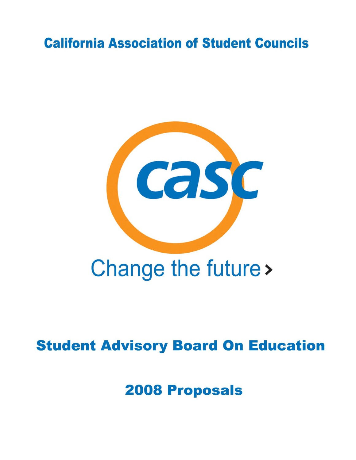# **California Association of Student Councils**



# Change the future >

# **Student Advisory Board On Education**

**2008 Proposals**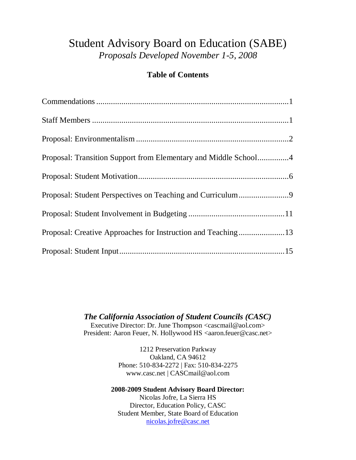# Student Advisory Board on Education (SABE) *Proposals Developed November 1-5, 2008*

# **Table of Contents**

| Proposal: Transition Support from Elementary and Middle School4 |  |
|-----------------------------------------------------------------|--|
|                                                                 |  |
|                                                                 |  |
|                                                                 |  |
|                                                                 |  |
|                                                                 |  |

*The California Association of Student Councils (CASC)* Executive Director: Dr. June Thompson <cascmail@aol.com> President: Aaron Feuer, N. Hollywood HS <aaron.feuer@casc.net>

> 1212 Preservation Parkway Oakland, CA 94612 Phone: 510-834-2272 | Fax: 510-834-2275 www.casc.net | CASCmail@aol.com

**2008-2009 Student Advisory Board Director:** Nicolas Jofre, La Sierra HS Director, Education Policy, CASC Student Member, State Board of Education [nicolas.jofre@casc.net](mailto:nicolas.jofre@casc.net)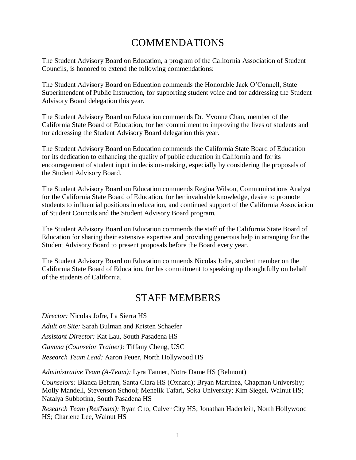# COMMENDATIONS

<span id="page-2-0"></span>The Student Advisory Board on Education, a program of the California Association of Student Councils, is honored to extend the following commendations:

The Student Advisory Board on Education commends the Honorable Jack O'Connell, State Superintendent of Public Instruction, for supporting student voice and for addressing the Student Advisory Board delegation this year.

The Student Advisory Board on Education commends Dr. Yvonne Chan, member of the California State Board of Education, for her commitment to improving the lives of students and for addressing the Student Advisory Board delegation this year.

The Student Advisory Board on Education commends the California State Board of Education for its dedication to enhancing the quality of public education in California and for its encouragement of student input in decision-making, especially by considering the proposals of the Student Advisory Board.

The Student Advisory Board on Education commends Regina Wilson, Communications Analyst for the California State Board of Education, for her invaluable knowledge, desire to promote students to influential positions in education, and continued support of the California Association of Student Councils and the Student Advisory Board program.

The Student Advisory Board on Education commends the staff of the California State Board of Education for sharing their extensive expertise and providing generous help in arranging for the Student Advisory Board to present proposals before the Board every year.

The Student Advisory Board on Education commends Nicolas Jofre, student member on the California State Board of Education, for his commitment to speaking up thoughtfully on behalf of the students of California.

# STAFF MEMBERS

<span id="page-2-1"></span>*Director:* Nicolas Jofre, La Sierra HS *Adult on Site:* Sarah Bulman and Kristen Schaefer *Assistant Director:* Kat Lau, South Pasadena HS *Gamma (Counselor Trainer):* Tiffany Cheng, USC *Research Team Lead:* Aaron Feuer, North Hollywood HS

*Administrative Team (A-Team):* Lyra Tanner, Notre Dame HS (Belmont)

*Counselors:* Bianca Beltran, Santa Clara HS (Oxnard); Bryan Martinez, Chapman University; Molly Mandell, Stevenson School; Menelik Tafari, Soka University; Kim Siegel, Walnut HS; Natalya Subbotina, South Pasadena HS

*Research Team (ResTeam):* Ryan Cho, Culver City HS; Jonathan Haderlein, North Hollywood HS; Charlene Lee, Walnut HS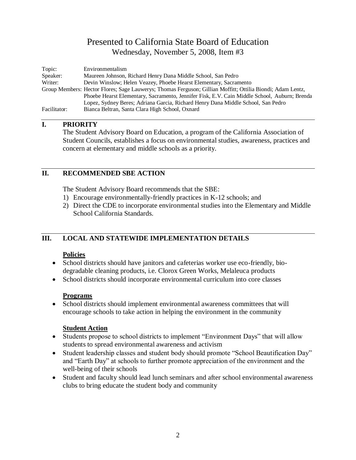<span id="page-3-0"></span>

| Topic:       | Environmentalism                                                                                           |
|--------------|------------------------------------------------------------------------------------------------------------|
| Speaker:     | Maureen Johnson, Richard Henry Dana Middle School, San Pedro                                               |
| Writer:      | Devin Winslow; Helen Veazey, Phoebe Hearst Elementary, Sacramento                                          |
|              | Group Members: Hector Flores; Sage Lauwerys; Thomas Ferguson; Gillian Moffitt; Ottilia Biondi; Adam Lentz, |
|              | Phoebe Hearst Elementary, Sacramento, Jennifer Fisk, E.V. Cain Middle School, Auburn; Brenda               |
|              | Lopez, Sydney Beres; Adriana Garcia, Richard Henry Dana Middle School, San Pedro                           |
| Facilitator: | Bianca Beltran, Santa Clara High School, Oxnard                                                            |

#### **I. PRIORITY**

The Student Advisory Board on Education, a program of the California Association of Student Councils, establishes a focus on environmental studies, awareness, practices and concern at elementary and middle schools as a priority.

#### **II. RECOMMENDED SBE ACTION**

The Student Advisory Board recommends that the SBE:

- 1) Encourage environmentally-friendly practices in K-12 schools; and
- 2) Direct the CDE to incorporate environmental studies into the Elementary and Middle School California Standards.

#### **III. LOCAL AND STATEWIDE IMPLEMENTATION DETAILS**

#### **Policies**

- School districts should have janitors and cafeterias worker use eco-friendly, biodegradable cleaning products, i.e. Clorox Green Works, Melaleuca products
- School districts should incorporate environmental curriculum into core classes

#### **Programs**

 School districts should implement environmental awareness committees that will encourage schools to take action in helping the environment in the community

#### **Student Action**

- Students propose to school districts to implement "Environment Days" that will allow students to spread environmental awareness and activism
- Student leadership classes and student body should promote "School Beautification Day" and "Earth Day" at schools to further promote appreciation of the environment and the well-being of their schools
- Student and faculty should lead lunch seminars and after school environmental awareness clubs to bring educate the student body and community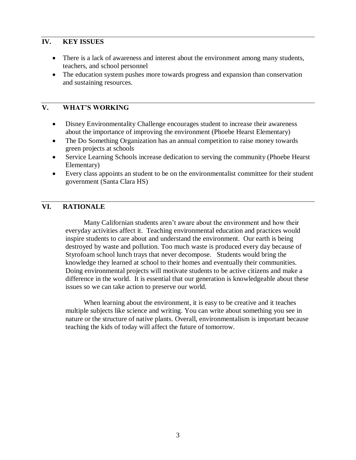- There is a lack of awareness and interest about the environment among many students, teachers, and school personnel
- The education system pushes more towards progress and expansion than conservation and sustaining resources.

#### **V. WHAT'S WORKING**

- Disney Environmentality Challenge encourages student to increase their awareness about the importance of improving the environment (Phoebe Hearst Elementary)
- The Do Something Organization has an annual competition to raise money towards green projects at schools
- Service Learning Schools increase dedication to serving the community (Phoebe Hearst Elementary)
- Every class appoints an student to be on the environmentalist committee for their student government (Santa Clara HS)

#### **VI. RATIONALE**

Many Californian students aren't aware about the environment and how their everyday activities affect it. Teaching environmental education and practices would inspire students to care about and understand the environment. Our earth is being destroyed by waste and pollution. Too much waste is produced every day because of Styrofoam school lunch trays that never decompose. Students would bring the knowledge they learned at school to their homes and eventually their communities. Doing environmental projects will motivate students to be active citizens and make a difference in the world. It is essential that our generation is knowledgeable about these issues so we can take action to preserve our world.

When learning about the environment, it is easy to be creative and it teaches multiple subjects like science and writing. You can write about something you see in nature or the structure of native plants. Overall, environmentalism is important because teaching the kids of today will affect the future of tomorrow.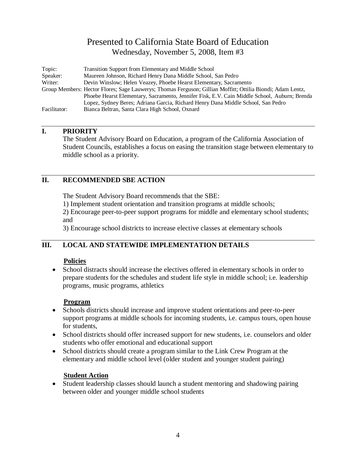<span id="page-5-0"></span>

| Topic:       | Transition Support from Elementary and Middle School                                                       |
|--------------|------------------------------------------------------------------------------------------------------------|
| Speaker:     | Maureen Johnson, Richard Henry Dana Middle School, San Pedro                                               |
| Writer:      | Devin Winslow; Helen Veazey, Phoebe Hearst Elementary, Sacramento                                          |
|              | Group Members: Hector Flores; Sage Lauwerys; Thomas Ferguson; Gillian Moffitt; Ottilia Biondi; Adam Lentz, |
|              | Phoebe Hearst Elementary, Sacramento, Jennifer Fisk, E.V. Cain Middle School, Auburn; Brenda               |
|              | Lopez, Sydney Beres; Adriana Garcia, Richard Henry Dana Middle School, San Pedro                           |
| Facilitator: | Bianca Beltran, Santa Clara High School, Oxnard                                                            |

#### **I. PRIORITY**

The Student Advisory Board on Education, a program of the California Association of Student Councils, establishes a focus on easing the transition stage between elementary to middle school as a priority.

#### **II. RECOMMENDED SBE ACTION**

The Student Advisory Board recommends that the SBE:

1) Implement student orientation and transition programs at middle schools;

2) Encourage peer-to-peer support programs for middle and elementary school students; and

3) Encourage school districts to increase elective classes at elementary schools

#### **III. LOCAL AND STATEWIDE IMPLEMENTATION DETAILS**

#### **Policies**

• School distracts should increase the electives offered in elementary schools in order to prepare students for the schedules and student life style in middle school; i.e. leadership programs, music programs, athletics

#### **Program**

- Schools districts should increase and improve student orientations and peer-to-peer support programs at middle schools for incoming students, i.e. campus tours, open house for students,
- School districts should offer increased support for new students, i.e. counselors and older students who offer emotional and educational support
- School districts should create a program similar to the Link Crew Program at the elementary and middle school level (older student and younger student pairing)

#### **Student Action**

 Student leadership classes should launch a student mentoring and shadowing pairing between older and younger middle school students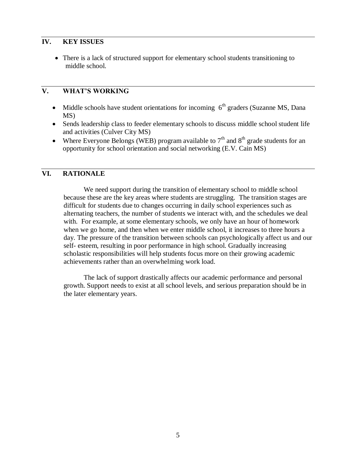There is a lack of structured support for elementary school students transitioning to middle school.

#### **V. WHAT'S WORKING**

- $\bullet$  Middle schools have student orientations for incoming  $6<sup>th</sup>$  graders (Suzanne MS, Dana MS)
- Sends leadership class to feeder elementary schools to discuss middle school student life and activities (Culver City MS)
- Where Everyone Belongs (WEB) program available to  $7<sup>th</sup>$  and  $8<sup>th</sup>$  grade students for an opportunity for school orientation and social networking (E.V. Cain MS)

#### **VI. RATIONALE**

We need support during the transition of elementary school to middle school because these are the key areas where students are struggling. The transition stages are difficult for students due to changes occurring in daily school experiences such as alternating teachers, the number of students we interact with, and the schedules we deal with. For example, at some elementary schools, we only have an hour of homework when we go home, and then when we enter middle school, it increases to three hours a day. The pressure of the transition between schools can psychologically affect us and our self- esteem, resulting in poor performance in high school. Gradually increasing scholastic responsibilities will help students focus more on their growing academic achievements rather than an overwhelming work load.

The lack of support drastically affects our academic performance and personal growth. Support needs to exist at all school levels, and serious preparation should be in the later elementary years.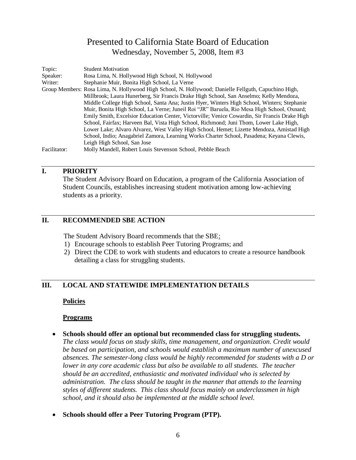<span id="page-7-0"></span>

| Topic:       | <b>Student Motivation</b>                                                                            |
|--------------|------------------------------------------------------------------------------------------------------|
| Speaker:     | Rosa Lima, N. Hollywood High School, N. Hollywood                                                    |
| Writer:      | Stephanie Muir, Bonita High School, La Verne                                                         |
|              | Group Members: Rosa Lima, N. Hollywood High School, N. Hollywood; Danielle Fellguth, Capuchino High, |
|              | Millbrook; Laura Hunerberg, Sir Francis Drake High School, San Anselmo; Kelly Mendoza,               |
|              | Middle College High School, Santa Ana; Justin Hyer, Winters High School, Winters; Stephanie          |
|              | Muir, Bonita High School, La Verne; Juneil Roi "JR" Baruela, Rio Mesa High School, Oxnard;           |
|              | Emily Smith, Excelsior Education Center, Victorville; Venice Cowardin, Sir Francis Drake High        |
|              | School, Fairfax; Harveen Bal, Vista High School, Richmond; Juni Thom, Lower Lake High,               |
|              | Lower Lake; Alvaro Alvarez, West Valley High School, Hemet; Lizette Mendoza, Amistad High            |
|              | School, Indio; Anagabriel Zamora, Learning Works Charter School, Pasadena; Keyana Clewis,            |
|              | Leigh High School, San Jose                                                                          |
| Facilitator: | Molly Mandell, Robert Louis Stevenson School, Pebble Beach                                           |

#### **I. PRIORITY**

The Student Advisory Board on Education, a program of the California Association of Student Councils, establishes increasing student motivation among low-achieving students as a priority.

#### **II. RECOMMENDED SBE ACTION**

The Student Advisory Board recommends that the SBE:

- 1) Encourage schools to establish Peer Tutoring Programs; and
- 2) Direct the CDE to work with students and educators to create a resource handbook detailing a class for struggling students.

#### **III. LOCAL AND STATEWIDE IMPLEMENTATION DETAILS**

#### **Policies**

#### **Programs**

- **Schools should offer an optional but recommended class for struggling students.**
	- *The class would focus on study skills, time management, and organization. Credit would be based on participation, and schools would establish a maximum number of unexcused absences. The semester-long class would be highly recommended for students with a D or lower in any core academic class but also be available to all students. The teacher should be an accredited, enthusiastic and motivated individual who is selected by administration. The class should be taught in the manner that attends to the learning styles of different students. This class should focus mainly on underclassmen in high school, and it should also be implemented at the middle school level.*
- **Schools should offer a Peer Tutoring Program (PTP).**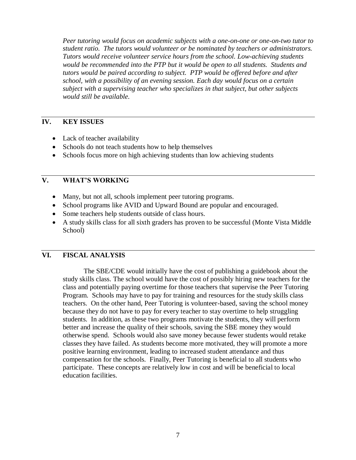*Peer tutoring would focus on academic subjects with a one-on-one or one-on-two tutor to student ratio. The tutors would volunteer or be nominated by teachers or administrators. Tutors would receive volunteer service hours from the school. Low-achieving students would be recommended into the PTP but it would be open to all students. Students and tutors would be paired according to subject. PTP would be offered before and after school, with a possibility of an evening session. Each day would focus on a certain subject with a supervising teacher who specializes in that subject, but other subjects would still be available.*

#### **IV. KEY ISSUES**

- Lack of teacher availability
- Schools do not teach students how to help themselves
- Schools focus more on high achieving students than low achieving students

#### **V. WHAT'S WORKING**

- Many, but not all, schools implement peer tutoring programs.
- School programs like AVID and Upward Bound are popular and encouraged.
- Some teachers help students outside of class hours.
- A study skills class for all sixth graders has proven to be successful (Monte Vista Middle School)

#### **VI. FISCAL ANALYSIS**

The SBE/CDE would initially have the cost of publishing a guidebook about the study skills class. The school would have the cost of possibly hiring new teachers for the class and potentially paying overtime for those teachers that supervise the Peer Tutoring Program. Schools may have to pay for training and resources for the study skills class teachers. On the other hand, Peer Tutoring is volunteer-based, saving the school money because they do not have to pay for every teacher to stay overtime to help struggling students. In addition, as these two programs motivate the students, they will perform better and increase the quality of their schools, saving the SBE money they would otherwise spend. Schools would also save money because fewer students would retake classes they have failed. As students become more motivated, they will promote a more positive learning environment, leading to increased student attendance and thus compensation for the schools. Finally, Peer Tutoring is beneficial to all students who participate. These concepts are relatively low in cost and will be beneficial to local education facilities.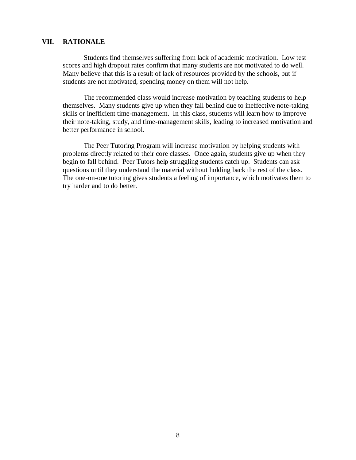#### **VII. RATIONALE**

Students find themselves suffering from lack of academic motivation. Low test scores and high dropout rates confirm that many students are not motivated to do well. Many believe that this is a result of lack of resources provided by the schools, but if students are not motivated, spending money on them will not help.

The recommended class would increase motivation by teaching students to help themselves. Many students give up when they fall behind due to ineffective note-taking skills or inefficient time-management. In this class, students will learn how to improve their note-taking, study, and time-management skills, leading to increased motivation and better performance in school.

The Peer Tutoring Program will increase motivation by helping students with problems directly related to their core classes. Once again, students give up when they begin to fall behind. Peer Tutors help struggling students catch up. Students can ask questions until they understand the material without holding back the rest of the class. The one-on-one tutoring gives students a feeling of importance, which motivates them to try harder and to do better.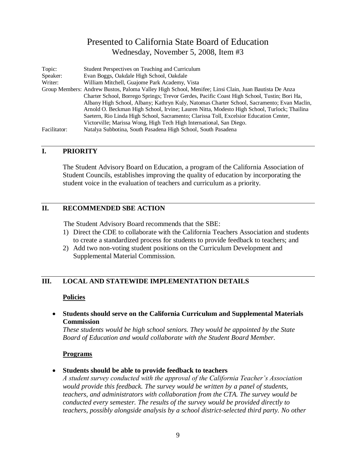<span id="page-10-0"></span>

| Topic:       | Student Perspectives on Teaching and Curriculum                                                      |
|--------------|------------------------------------------------------------------------------------------------------|
| Speaker:     | Evan Boggs, Oakdale High School, Oakdale                                                             |
| Writer:      | William Mitchell, Guajome Park Academy, Vista                                                        |
|              | Group Members: Andrew Bustos, Paloma Valley High School, Menifee; Linsi Clain, Juan Bautista De Anza |
|              | Charter School, Borrego Springs; Trevor Gerdes, Pacific Coast High School, Tustin; Bori Ha,          |
|              | Albany High School, Albany; Kathryn Kuly, Natomas Charter School, Sacramento; Evan Maclin,           |
|              | Arnold O. Beckman High School, Irvine; Lauren Nitta, Modesto High School, Turlock; Thailina          |
|              | Saetern, Rio Linda High School, Sacramento; Clarissa Toll, Excelsior Education Center,               |
|              | Victorville; Marissa Wong, High Tech High International, San Diego.                                  |
| Facilitator: | Natalya Subbotina, South Pasadena High School, South Pasadena                                        |

#### **I. PRIORITY**

The Student Advisory Board on Education, a program of the California Association of Student Councils, establishes improving the quality of education by incorporating the student voice in the evaluation of teachers and curriculum as a priority.

#### **II. RECOMMENDED SBE ACTION**

The Student Advisory Board recommends that the SBE:

- 1) Direct the CDE to collaborate with the California Teachers Association and students to create a standardized process for students to provide feedback to teachers; and
- 2) Add two non-voting student positions on the Curriculum Development and Supplemental Material Commission.

#### **III. LOCAL AND STATEWIDE IMPLEMENTATION DETAILS**

#### **Policies**

 **Students should serve on the California Curriculum and Supplemental Materials Commission**

*These students would be high school seniors. They would be appointed by the State Board of Education and would collaborate with the Student Board Member.* 

#### **Programs**

**Students should be able to provide feedback to teachers**

*A student survey conducted with the approval of the California Teacher's Association would provide this feedback. The survey would be written by a panel of students, teachers, and administrators with collaboration from the CTA. The survey would be conducted every semester. The results of the survey would be provided directly to teachers, possibly alongside analysis by a school district-selected third party. No other*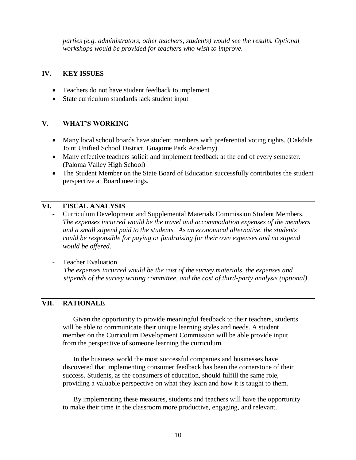*parties (e.g. administrators, other teachers, students) would see the results. Optional workshops would be provided for teachers who wish to improve.*

#### **IV. KEY ISSUES**

- Teachers do not have student feedback to implement
- State curriculum standards lack student input

#### **V. WHAT'S WORKING**

- Many local school boards have student members with preferential voting rights. (Oakdale Joint Unified School District, Guajome Park Academy)
- Many effective teachers solicit and implement feedback at the end of every semester. (Paloma Valley High School)
- The Student Member on the State Board of Education successfully contributes the student perspective at Board meetings.

#### **VI. FISCAL ANALYSIS**

- Curriculum Development and Supplemental Materials Commission Student Members. *The expenses incurred would be the travel and accommodation expenses of the members and a small stipend paid to the students. As an economical alternative, the students could be responsible for paying or fundraising for their own expenses and no stipend would be offered.*
- Teacher Evaluation *The expenses incurred would be the cost of the survey materials, the expenses and stipends of the survey writing committee, and the cost of third-party analysis (optional).*

#### **VII. RATIONALE**

Given the opportunity to provide meaningful feedback to their teachers, students will be able to communicate their unique learning styles and needs. A student member on the Curriculum Development Commission will be able provide input from the perspective of someone learning the curriculum.

In the business world the most successful companies and businesses have discovered that implementing consumer feedback has been the cornerstone of their success. Students, as the consumers of education, should fulfill the same role, providing a valuable perspective on what they learn and how it is taught to them.

By implementing these measures, students and teachers will have the opportunity to make their time in the classroom more productive, engaging, and relevant.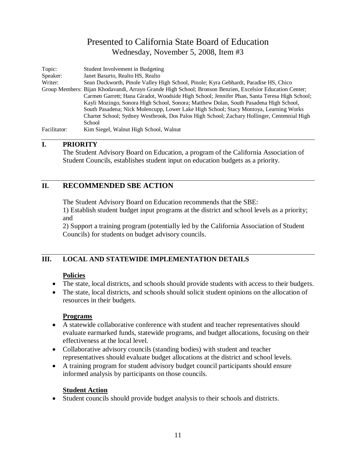<span id="page-12-0"></span>

| Topic:       | Student Involvement in Budgeting                                                                         |
|--------------|----------------------------------------------------------------------------------------------------------|
| Speaker:     | Janet Basurto, Realto HS, Realto                                                                         |
| Writer:      | Sean Duckworth, Pinole Valley High School, Pinole; Kyra Gebhardt, Paradise HS, Chico                     |
|              | Group Members: Bijan Khodavandi, Arrayo Grande High School; Bronson Benzien, Excelsior Education Center; |
|              | Carmen Garrett; Hana Giradot, Woodside High School; Jennifer Phan, Santa Teresa High School;             |
|              | Kayli Mozingo, Sonora High School, Sonora; Matthew Dolan, South Pasadena High School,                    |
|              | South Pasadena; Nick Molencupp, Lower Lake High School; Stacy Montoya, Learning Works                    |
|              | Charter School; Sydney Westbrook, Dos Palos High School; Zachary Hollinger, Centennial High              |
|              | School                                                                                                   |
| Facilitator: | Kim Siegel, Walnut High School, Walnut                                                                   |

#### **I. PRIORITY**

The Student Advisory Board on Education, a program of the California Association of Student Councils, establishes student input on education budgets as a priority.

#### **II. RECOMMENDED SBE ACTION**

The Student Advisory Board on Education recommends that the SBE:

1) Establish student budget input programs at the district and school levels as a priority; and

2) Support a training program (potentially led by the California Association of Student Councils) for students on budget advisory councils.

#### **III. LOCAL AND STATEWIDE IMPLEMENTATION DETAILS**

#### **Policies**

- The state, local districts, and schools should provide students with access to their budgets.
- The state, local districts, and schools should solicit student opinions on the allocation of resources in their budgets.

#### **Programs**

- A statewide collaborative conference with student and teacher representatives should evaluate earmarked funds, statewide programs, and budget allocations, focusing on their effectiveness at the local level.
- Collaborative advisory councils (standing bodies) with student and teacher representatives should evaluate budget allocations at the district and school levels.
- A training program for student advisory budget council participants should ensure informed analysis by participants on those councils.

#### **Student Action**

Student councils should provide budget analysis to their schools and districts.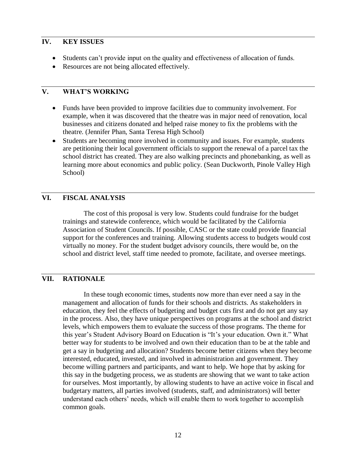- Students can't provide input on the quality and effectiveness of allocation of funds.
- Resources are not being allocated effectively.

#### **V. WHAT'S WORKING**

- Funds have been provided to improve facilities due to community involvement. For example, when it was discovered that the theatre was in major need of renovation, local businesses and citizens donated and helped raise money to fix the problems with the theatre. (Jennifer Phan, Santa Teresa High School)
- Students are becoming more involved in community and issues. For example, students are petitioning their local government officials to support the renewal of a parcel tax the school district has created. They are also walking precincts and phonebanking, as well as learning more about economics and public policy. (Sean Duckworth, Pinole Valley High School)

#### **VI. FISCAL ANALYSIS**

The cost of this proposal is very low. Students could fundraise for the budget trainings and statewide conference, which would be facilitated by the California Association of Student Councils. If possible, CASC or the state could provide financial support for the conferences and training. Allowing students access to budgets would cost virtually no money. For the student budget advisory councils, there would be, on the school and district level, staff time needed to promote, facilitate, and oversee meetings.

#### **VII. RATIONALE**

In these tough economic times, students now more than ever need a say in the management and allocation of funds for their schools and districts. As stakeholders in education, they feel the effects of budgeting and budget cuts first and do not get any say in the process. Also, they have unique perspectives on programs at the school and district levels, which empowers them to evaluate the success of those programs. The theme for this year's Student Advisory Board on Education is "It's your education. Own it." What better way for students to be involved and own their education than to be at the table and get a say in budgeting and allocation? Students become better citizens when they become interested, educated, invested, and involved in administration and government. They become willing partners and participants, and want to help. We hope that by asking for this say in the budgeting process, we as students are showing that we want to take action for ourselves. Most importantly, by allowing students to have an active voice in fiscal and budgetary matters, all parties involved (students, staff, and administrators) will better understand each others' needs, which will enable them to work together to accomplish common goals.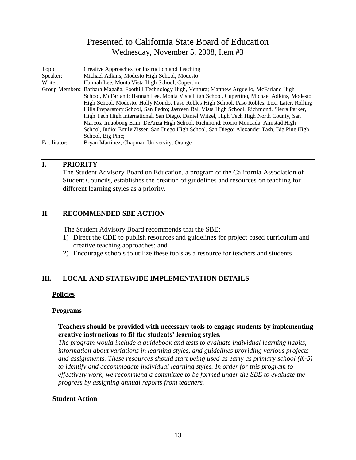<span id="page-14-0"></span>

| Topic:       | Creative Approaches for Instruction and Teaching                                                   |
|--------------|----------------------------------------------------------------------------------------------------|
| Speaker:     | Michael Adkins, Modesto High School, Modesto                                                       |
| Writer:      | Hannah Lee, Monta Vista High School, Cupertino                                                     |
|              | Group Members: Barbara Magaña, Foothill Technology High, Ventura; Matthew Arguello, McFarland High |
|              | School, McFarland; Hannah Lee, Monta Vista High School, Cupertino, Michael Adkins, Modesto         |
|              | High School, Modesto; Holly Mondo, Paso Robles High School, Paso Robles. Lexi Later, Rolling       |
|              | Hills Preparatory School, San Pedro; Jasveen Bal, Vista High School, Richmond. Sierra Parker,      |
|              | High Tech High International, San Diego, Daniel Witzel, High Tech High North County, San           |
|              | Marcos, Imaobong Etim, DeAnza High School, Richmond; Rocio Moncada, Amistad High                   |
|              | School, Indio; Emily Zisser, San Diego High School, San Diego; Alexander Tash, Big Pine High       |
|              | School, Big Pine;                                                                                  |
| Facilitator: | Bryan Martinez, Chapman University, Orange                                                         |

#### **I. PRIORITY**

The Student Advisory Board on Education, a program of the California Association of Student Councils, establishes the creation of guidelines and resources on teaching for different learning styles as a priority.

#### **II. RECOMMENDED SBE ACTION**

The Student Advisory Board recommends that the SBE:

- 1) Direct the CDE to publish resources and guidelines for project based curriculum and creative teaching approaches; and
- 2) Encourage schools to utilize these tools as a resource for teachers and students

#### **III. LOCAL AND STATEWIDE IMPLEMENTATION DETAILS**

#### **Policies**

#### **Programs**

#### **Teachers should be provided with necessary tools to engage students by implementing creative instructions to fit the students' learning styles.**

*The program would include a guidebook and tests to evaluate individual learning habits, information about variations in learning styles, and guidelines providing various projects and assignments. These resources should start being used as early as primary school (K-5) to identify and accommodate individual learning styles. In order for this program to effectively work, we recommend a committee to be formed under the SBE to evaluate the progress by assigning annual reports from teachers.* 

#### **Student Action**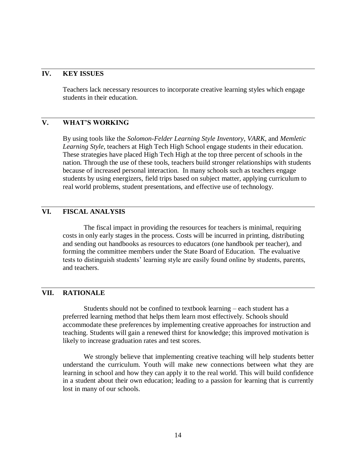Teachers lack necessary resources to incorporate creative learning styles which engage students in their education.

#### **V. WHAT'S WORKING**

By using tools like the *Solomon-Felder Learning Style Inventory*, *VARK*, and *Memletic Learning Style*, teachers at High Tech High School engage students in their education. These strategies have placed High Tech High at the top three percent of schools in the nation. Through the use of these tools, teachers build stronger relationships with students because of increased personal interaction. In many schools such as teachers engage students by using energizers, field trips based on subject matter, applying curriculum to real world problems, student presentations, and effective use of technology.

#### **VI. FISCAL ANALYSIS**

The fiscal impact in providing the resources for teachers is minimal, requiring costs in only early stages in the process. Costs will be incurred in printing, distributing and sending out handbooks as resources to educators (one handbook per teacher), and forming the committee members under the State Board of Education. The evaluative tests to distinguish students' learning style are easily found online by students, parents, and teachers.

#### **VII. RATIONALE**

Students should not be confined to textbook learning – each student has a preferred learning method that helps them learn most effectively. Schools should accommodate these preferences by implementing creative approaches for instruction and teaching. Students will gain a renewed thirst for knowledge; this improved motivation is likely to increase graduation rates and test scores.

We strongly believe that implementing creative teaching will help students better understand the curriculum. Youth will make new connections between what they are learning in school and how they can apply it to the real world. This will build confidence in a student about their own education; leading to a passion for learning that is currently lost in many of our schools.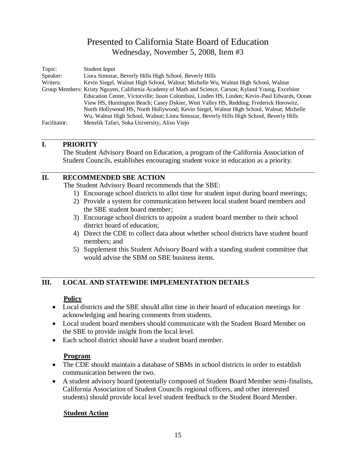<span id="page-16-0"></span>

| Topic:       | Student Input                                                                                         |
|--------------|-------------------------------------------------------------------------------------------------------|
| Speaker:     | Liora Simozar, Beverly Hills High School, Beverly Hills                                               |
| Writers:     | Kevin Siegel, Walnut High School, Walnut; Michelle Wu, Walnut High School, Walnut                     |
|              | Group Members: Kristy Nguyen, California Academy of Math and Science, Carson; Kyland Young, Excelsior |
|              | Education Center, Victorville; Jason Colombini, Linden HS, Linden; Kevin-Paul Edwards, Ocean          |
|              | View HS, Huntington Beach; Casey Dykier, West Valley HS, Redding; Frederick Horowitz,                 |
|              | North Hollywood HS, North Hollywood; Kevin Siegel, Walnut High School, Walnut; Michelle               |
|              | Wu, Walnut High School, Walnut; Liora Simozar, Beverly Hills High School, Beverly Hills               |
| Facilitator: | Menelik Tafari, Soka University, Aliso Viejo                                                          |

#### **I. PRIORITY**

The Student Advisory Board on Education, a program of the California Association of Student Councils, establishes encouraging student voice in education as a priority.

#### **II. RECOMMENDED SBE ACTION**

The Student Advisory Board recommends that the SBE:

- 1) Encourage school districts to allot time for student input during board meetings;
- 2) Provide a system for communication between local student board members and the SBE student board member;
- 3) Encourage school districts to appoint a student board member to their school district board of education;
- 4) Direct the CDE to collect data about whether school districts have student board members; and
- 5) Supplement this Student Advisory Board with a standing student committee that would advise the SBM on SBE business items.

#### **III. LOCAL AND STATEWIDE IMPLEMENTATION DETAILS**

#### **Policy**

- Local districts and the SBE should allot time in their board of education meetings for acknowledging and hearing comments from students.
- Local student board members should communicate with the Student Board Member on the SBE to provide insight from the local level.
- Each school district should have a student board member.

#### **Program**

- The CDE should maintain a database of SBMs in school districts in order to establish communication between the two.
- A student advisory board (potentially composed of Student Board Member semi-finalists, California Association of Student Councils regional officers, and other interested students) should provide local level student feedback to the Student Board Member.

#### **Student Action**